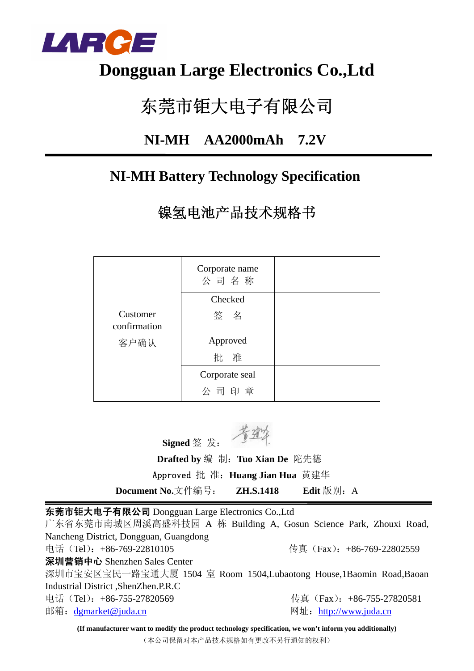

## **Dongguan Large Electronics Co.,Ltd**

# 东莞市钜大电子有限公司

### **NI-MH AA2000mAh 7.2V**

### **NI-MH Battery Technology Specification**

镍氢电池产品技术规格书

|                          | Corporate name<br>公司名称 |  |
|--------------------------|------------------------|--|
|                          | Checked                |  |
| Customer<br>confirmation | 签名                     |  |
| 客户确认                     | Approved               |  |
|                          | 批 准                    |  |
|                          | Corporate seal         |  |
|                          | 公司印章                   |  |

**Signed** 签 发:

 **Drafted by** 编 制:**Tuo Xian De** 陀先德 Approved 批 准:**Huang Jian Hua** 黄建华

**Document No.**文件编号: **ZH.S.1418** Edit 版别: A

东莞市钜大电子有限公司 Dongguan Large Electronics Co.,Ltd

广东省东莞市南城区周溪高盛科技园 A 栋 Building A, Gosun Science Park, Zhouxi Road, Nancheng District, Dongguan, Guangdong 电话(Tel):+86-769-22810105 传真(Fax):+86-769-22802559 深圳营销中心 Shenzhen Sales Center 深圳市宝安区宝民一路宝通大厦 1504 室 Room 1504,Lubaotong House,1Baomin Road,Baoan Industrial District ,ShenZhen.P.R.C 电话(Tel): +86-755-27820569 传真(Fax): +86-755-27820581 邮箱:dgmarket@juda.cn 网址:http://www.juda.cn

**(If manufacturer want to modify the product technology specification, we won't inform you additionally)** (本公司保留对本产品技术规格如有更改不另行通知的权利)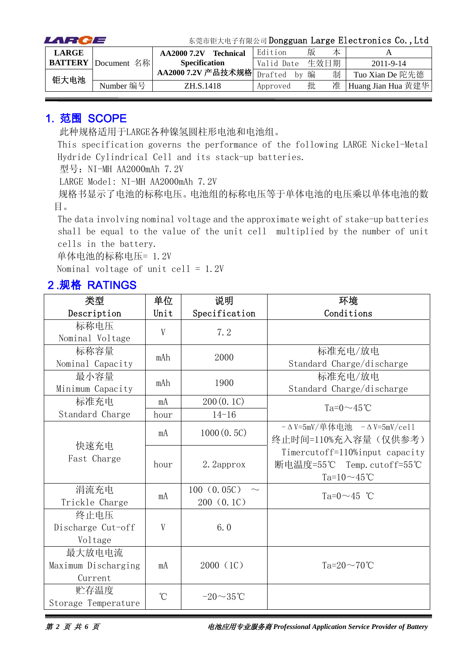| LARCE        |                            |                                 |            |   |      | 东莞市钜大电子有限公司 Dongguan Large Electronics Co., Ltd |
|--------------|----------------------------|---------------------------------|------------|---|------|-------------------------------------------------|
| <b>LARGE</b> |                            | <b>Technical</b><br>AA2000 7.2V | Edition    | 版 | 本    |                                                 |
|              | <b>BATTERY</b> Document 名称 | <b>Specification</b>            | Valid Date |   | 生效日期 | $2011 - 9 - 14$                                 |
| 钜大电池         |                            | AA2000 7.2V 产品技术规格 Drafted      | by         | 编 | 制    | Tuo Xian De 陀先德                                 |
|              | Number 编号                  | ZH.S.1418                       | Approved   | 批 | 准    | Huang Jian Hua 黄建华                              |

#### 1. 范围 SCOPE

此种规格适用于LARGE各种镍氢圆柱形电池和电池组。

This specification governs the performance of the following LARGE Nickel-Metal Hydride Cylindrical Cell and its stack-up batteries.

型号: NI-MH AA2000mAh 7.2V

LARGE Model: NI-MH AA2000mAh 7.2V

规格书显示了电池的标称电压。电池组的标称电压等于单体电池的电压乘以单体电池的数 目。

The data involving nominal voltage and the approximate weight of stake-up batteries shall be equal to the value of the unit cell multiplied by the number of unit cells in the battery.

单体电池的标称电压= 1.2V

Nominal voltage of unit cell =  $1.2V$ 

#### 2.规格 RATINGS

| 类型                  | 单位                   | 说明             | 环境                                        |
|---------------------|----------------------|----------------|-------------------------------------------|
| Description         | Unit                 | Specification  | Conditions                                |
| 标称电压                | V                    | 7.2            |                                           |
| Nominal Voltage     |                      |                |                                           |
| 标称容量                | mAh                  | 2000           | 标准充电/放电                                   |
| Nominal Capacity    |                      |                | Standard Charge/discharge                 |
| 最小容量                | mAh                  | 1900           | 标准充电/放电                                   |
| Minimum Capacity    |                      |                | Standard Charge/discharge                 |
| 标准充电                | mA                   | 200(0.1C)      | Ta= $0 \sim 45$ °C                        |
| Standard Charge     | hour                 | $14 - 16$      |                                           |
|                     | mA                   | 1000(0.5C)     | $-\Delta$ V=5mV/单体电池 $-\Delta$ V=5mV/cell |
| 快速充电                |                      |                | 终止时间=110%充入容量(仅供参考)                       |
| Fast Charge         |                      |                | Timercutoff=110%input capacity            |
|                     | hour                 | 2. 2approx     | 断电温度=55℃ Temp.cutoff=55℃                  |
|                     |                      |                | Ta=10 $∼45$ °C                            |
| 涓流充电                | mA                   | 100(0.05C)     | Ta=0 $\sim$ 45 °C                         |
| Trickle Charge      |                      | 200 (0.1C)     |                                           |
| 终止电压                |                      |                |                                           |
| Discharge Cut-off   | V                    | 6.0            |                                           |
| Voltage             |                      |                |                                           |
| 最大放电电流              |                      |                |                                           |
| Maximum Discharging | mA                   | 2000 (1C)      | Ta= $20 \sim 70$ °C                       |
| Current             |                      |                |                                           |
| 贮存温度                | $\mathrm{C}^{\circ}$ | $-20\sim35$ °C |                                           |
| Storage Temperature |                      |                |                                           |

第 *2* 页 共 *6* 页电池应用专业服务商 *Professional Application Service Provider of Battery*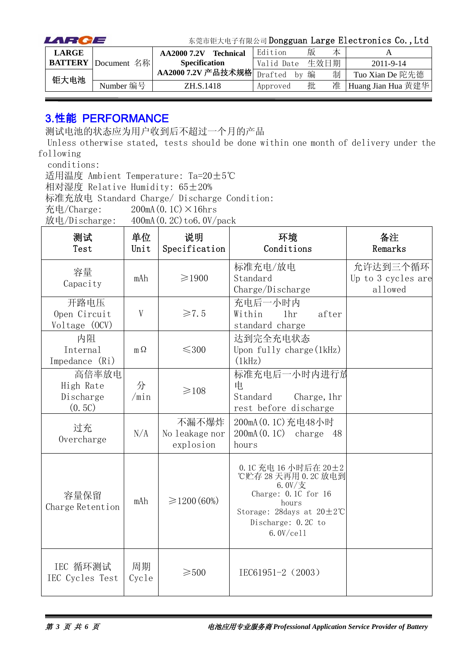| LARCE        |                            |                                 | 东莞市钜大电子有限公司 Dongguan Large Electronics Co., Ltd |   |      |                    |
|--------------|----------------------------|---------------------------------|-------------------------------------------------|---|------|--------------------|
| <b>LARGE</b> |                            | <b>Technical</b><br>AA2000 7.2V | Edition                                         | 版 | 本    |                    |
|              | <b>BATTERY</b> Document 名称 | <b>Specification</b>            | Valid Date                                      |   | 生效日期 | $2011 - 9 - 14$    |
| 钜大电池         |                            | AA2000 7.2V 产品技术规格 Drafted      | by                                              | 编 | 制    | Tuo Xian De 陀先德    |
|              | Number 编号                  | ZH.S.1418                       | Approved                                        | 批 | 准    | Huang Jian Hua 黄建华 |

#### 3.性能 PERFORMANCE

测试电池的状态应为用户收到后不超过一个月的产品

Unless otherwise stated, tests should be done within one month of delivery under the following

conditions:

适用温度 Ambient Temperature: Ta=20±5℃

相对湿度 Relative Humidity: 65±20%

标准充放电 Standard Charge/ Discharge Condition:

充电/Charge:  $200mA(0.1C) \times 16hrs$ 

放电/Discharge:  $400mA(0.2C)$  to  $6.0V/pack$ 

| 测试<br>Test                                | 单位<br>Unit  | 说明<br>Specification                  | 环境<br>Conditions                                                                                                                                                           | 备注<br>Remarks                             |
|-------------------------------------------|-------------|--------------------------------------|----------------------------------------------------------------------------------------------------------------------------------------------------------------------------|-------------------------------------------|
| 容量<br>Capacity                            | mAh         | $\geq 1900$                          | 标准充电/放电<br>Standard<br>Charge/Discharge                                                                                                                                    | 允许达到三个循环<br>Up to 3 cycles are<br>allowed |
| 开路电压<br>Open Circuit<br>Voltage (OCV)     | V           | $\geq 7.5$                           | 充电后一小时内<br>Within<br>1 <sub>hr</sub><br>after<br>standard charge                                                                                                           |                                           |
| 内阻<br>Internal<br>Impedance (Ri)          | $m\Omega$   | $\leq$ 300                           | 达到完全充电状态<br>Upon fully charge $(1kHz)$<br>(1kHz)                                                                                                                           |                                           |
| 高倍率放电<br>High Rate<br>Discharge<br>(0.5C) | 分<br>/min   | $\geq 108$                           | 标准充电后一小时内进行放<br>电<br>Standard<br>Charge, 1hr<br>rest before discharge                                                                                                      |                                           |
| 过充<br>Overcharge                          | N/A         | 不漏不爆炸<br>No leakage nor<br>explosion | 200mA (0.1C) 充电48小时<br>$200mA(0.1C)$ charge 48<br>hours                                                                                                                    |                                           |
| 容量保留<br>Charge Retention                  | mAh         | $\geq 1200(60\%)$                    | 0.1C 充电 16 小时后在 20±2<br>℃贮存 28 天再用 0.2C 放电到<br>$6.0V/\n$<br>Charge: $0.1C$ for $16$<br>hours<br>Storage: 28days at $20 \pm 2^{\circ}$ C<br>Discharge: 0.2C to<br>6.0V/cel1 |                                           |
| IEC 循环测试<br>IEC Cycles Test               | 周期<br>Cycle | $\geqslant500$                       | IEC61951-2 (2003)                                                                                                                                                          |                                           |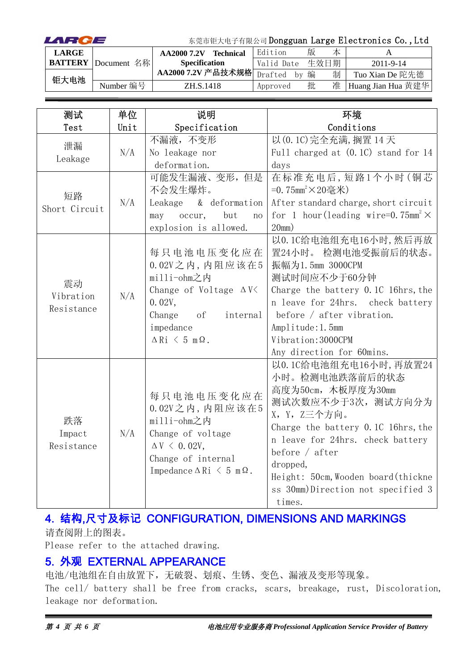| LARCE        |                            | 东莞市钜大电子有限公司 Dongguan Large Electronics Co., Ltd |  |               |   |      |                    |
|--------------|----------------------------|-------------------------------------------------|--|---------------|---|------|--------------------|
| <b>LARGE</b> |                            | <b>Technical</b><br>AA2000 7.2V                 |  | Edition       | 版 | 本    |                    |
|              | <b>BATTERY</b> Document 名称 | <b>Specification</b>                            |  | Valid Date    |   | 生效日期 | 2011-9-14          |
| 钜大电池         |                            | AA2000 7.2V 产品技术规格                              |  | Drafted<br>hv | 编 | 制    | Tuo Xian De 陀先德    |
|              | Number 编号                  | ZH.S.1418                                       |  | Approved      | 批 | 准    | Huang Jian Hua 黄建华 |

| 测试            | 单位   | 说明                                          | 环境                                                    |
|---------------|------|---------------------------------------------|-------------------------------------------------------|
| Test          | Unit | Specification                               | Conditions                                            |
| 泄漏            |      | 不漏液,不变形                                     | 以 (0.1C) 完全充满, 搁置 14 天                                |
| Leakage       | N/A  | No leakage nor                              | Full charged at $(0.1C)$ stand for 14                 |
|               |      | deformation.                                | days                                                  |
|               |      | 可能发生漏液、变形,但是                                | 在标准充电后,短路1个小时(铜芯                                      |
| 短路            |      | 不会发生爆炸。                                     | =0.75mm <sup>2</sup> ×20毫米)                           |
| Short Circuit | N/A  | & deformation<br>Leakage                    | After standard charge, short circuit                  |
|               |      | but<br>occur,<br>may<br>no                  | for 1 hour (leading wire=0.75mm <sup>2</sup> $\times$ |
|               |      | explosion is allowed.                       | 20mm)                                                 |
|               |      |                                             | 以0.1C给电池组充电16小时,然后再放                                  |
|               |      | 每只电池电压变化应在                                  | 置24小时。 检测电池受振前后的状态。                                   |
|               | N/A  | $0.02V$ 之内, 内阻应该在5                          | 振幅为1.5mm 3000CPM                                      |
| 震动            |      | milli-ohm之内                                 | 测试时间应不少于60分钟                                          |
| Vibration     |      | Change of Voltage $\Delta V$                | Charge the battery 0.1C 16hrs, the                    |
| Resistance    |      | 0.02V,                                      | n leave for 24hrs. check battery                      |
|               |      | Change<br>of<br>internal                    | before $/$ after vibration.                           |
|               |      | impedance                                   | Amplitude: 1.5mm                                      |
|               |      | $\Delta$ Ri $\leq$ 5 m $\Omega$ .           | Vibration: 3000CPM                                    |
|               |      |                                             | Any direction for 60mins.                             |
|               |      |                                             | 以0.1C给电池组充电16小时,再放置24                                 |
|               |      |                                             | 小时。检测电池跌落前后的状态                                        |
|               |      | 每只电池电压变化应在                                  | 高度为50cm, 木板厚度为30mm                                    |
|               |      | $0.02V$ 之内, 内阻应该在5                          | 测试次数应不少于3次, 测试方向分为                                    |
| 跌落            |      | milli-ohm之内                                 | X, Y, Z三个方向。                                          |
| Impact        | N/A  | Change of voltage                           | Charge the battery 0.1C 16hrs, the                    |
| Resistance    |      | $\Delta V \leq 0.02V$ ,                     | n leave for 24hrs. check battery                      |
|               |      | Change of internal                          | before $/$ after                                      |
|               |      | Impedance $\Delta$ Ri $\leq$ 5 m $\Omega$ . | dropped,                                              |
|               |      |                                             | Height: 50cm, Wooden board (thickne                   |
|               |      |                                             | ss 30mm)Direction not specified 3                     |
|               |      |                                             | times.                                                |

### 4. 结构,尺寸及标记 CONFIGURATION, DIMENSIONS AND MARKINGS

请查阅附上的图表。

Please refer to the attached drawing.

#### 5. 外观 EXTERNAL APPEARANCE

电池/电池组在自由放置下,无破裂、划痕、生锈、变色、漏液及变形等现象。 The cell/ battery shall be free from cracks, scars, breakage, rust, Discoloration, leakage nor deformation.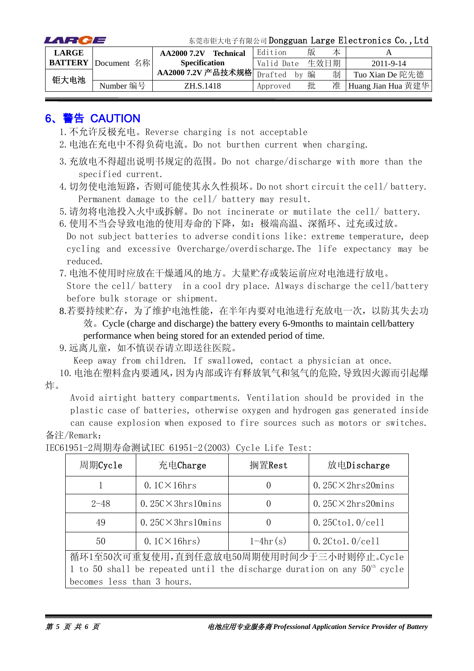| LARCE        |                            |                                 |            |   |      | 东莞市钜大电子有限公司 Dongguan Large Electronics Co., Ltd |
|--------------|----------------------------|---------------------------------|------------|---|------|-------------------------------------------------|
| <b>LARGE</b> |                            | <b>Technical</b><br>AA2000 7.2V | Edition    | 版 | 本    |                                                 |
|              | <b>BATTERY</b> Document 名称 | <b>Specification</b>            | Valid Date |   | 生效日期 | $2011 - 9 - 14$                                 |
| 钜大电池         |                            | AA2000 7.2V 产品技术规格 Drafted      | by         | 编 | 制    | Tuo Xian De 陀先德                                 |
|              | Number 编号                  | ZH.S.1418                       | Approved   | 批 | 准    | Huang Jian Hua 黄建华                              |

#### 6、警告 CAUTION

- 1.不允许反极充电。Reverse charging is not acceptable
- 2.电池在充电中不得负荷电流。Do not burthen current when charging.
- 3.充放电不得超出说明书规定的范围。Do not charge/discharge with more than the specified current.
- 4.切勿使电池短路,否则可能使其永久性损坏。Do not short circuit the cell/ battery. Permanent damage to the cell/ battery may result.

5.请勿将电池投入火中或拆解。Do not incinerate or mutilate the cell/ battery.

6. 使用不当会导致电池的使用寿命的下降,如:极端高温、深循环、过充或过放。 Do not subject batteries to adverse conditions like: extreme temperature, deep cycling and excessive Overcharge/overdischarge.The life expectancy may be reduced.

7.电池不使用时应放在干燥通风的地方。大量贮存或装运前应对电池进行放电。

Store the cell/ battery in a cool dry place. Always discharge the cell/battery before bulk storage or shipment.

8.若要持续贮存,为了维护电池性能,在半年内要对电池进行充放电一次,以防其失去功 效。Cycle (charge and discharge) the battery every 6-9months to maintain cell/battery performance when being stored for an extended period of time.

9.远离儿童,如不慎误吞请立即送往医院。

Keep away from children. If swallowed, contact a physician at once.

10.电池在塑料盒内要通风,因为内部或许有释放氧气和氢气的危险,导致因火源而引起爆 炸。

Avoid airtight battery compartments. Ventilation should be provided in the plastic case of batteries, otherwise oxygen and hydrogen gas generated inside

can cause explosion when exposed to fire sources such as motors or switches. 备注/Remark:

| 周期Cycle                                                                    | 充电Charge                                  | 搁置Rest     | 放电Discharge                |  |  |  |  |
|----------------------------------------------------------------------------|-------------------------------------------|------------|----------------------------|--|--|--|--|
|                                                                            | $0.1$ C $\times$ 16hrs                    | $\theta$   | $0.25C \times 2hrs20 mins$ |  |  |  |  |
| $2 - 48$                                                                   | $0.25C \times 3hrs10 mins$                | $\theta$   | $0.25C \times 2hrs20 mins$ |  |  |  |  |
| 49                                                                         | $0.25C \times 3hrs10 mins$                | $\theta$   | $0.25C$ tol. $0$ /cell     |  |  |  |  |
| 50                                                                         | $0.1$ C $\times$ 16hrs)                   | $1-4hr(s)$ | $0.2C$ tol. $0$ /cell      |  |  |  |  |
|                                                                            | 循环1至50次可重复使用,直到任意放电50周期使用时间少于三小时则停止。Cycle |            |                            |  |  |  |  |
| 1 to 50 shall be repeated until the discharge duration on any $50th$ cycle |                                           |            |                            |  |  |  |  |
| becomes less than 3 hours.                                                 |                                           |            |                            |  |  |  |  |

IEC61951-2周期寿命测试IEC 61951-2(2003) Cycle Life Test: